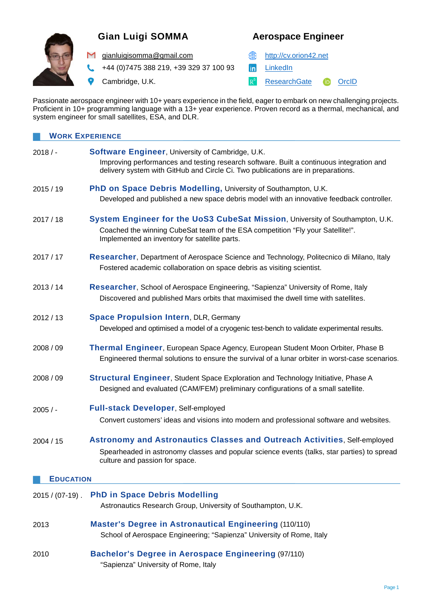

# **Gian Luigi SOMMA Aerospace Engineer**

M [gianluigisomma@gmail.com](mailto:gianluigisomma@gmail.com) **example and the state of the state of the state of the state of the state of the state of the state of the state of the state of the state of the state of the state of the state of the state of** 

+44 (0)7475 388 219, +39 329 37 100 93 **in** [LinkedIn](https://www.linkedin.com/in/gianluigisomma/) t.

9

Cambridge, U.K. The Cambridge Cambridge of the Control of the [ResearchGate](https://www.researchgate.net/profile/Gian_Luigi_Somma) [OrcID](https://orcid.org/0000-0003-0383-5719)

Passionate aerospace engineer with 10+ years experience in the field, eager to embark on new challenging projects. Proficient in 10+ programming language with a 13+ year experience. Proven record as a thermal, mechanical, and system engineer for small satellites, ESA, and DLR.

| <b>WORK EXPERIENCE</b> |                                                                                                                                                                                                                                  |  |
|------------------------|----------------------------------------------------------------------------------------------------------------------------------------------------------------------------------------------------------------------------------|--|
| $2018/$ -              | Software Engineer, University of Cambridge, U.K.<br>Improving performances and testing research software. Built a continuous integration and<br>delivery system with GitHub and Circle Ci. Two publications are in preparations. |  |
| 2015/19                | PhD on Space Debris Modelling, University of Southampton, U.K.<br>Developed and published a new space debris model with an innovative feedback controller.                                                                       |  |
| 2017/18                | System Engineer for the UoS3 CubeSat Mission, University of Southampton, U.K.<br>Coached the winning CubeSat team of the ESA competition "Fly your Satellite!".<br>Implemented an inventory for satellite parts.                 |  |
| 2017/17                | Researcher, Department of Aerospace Science and Technology, Politecnico di Milano, Italy<br>Fostered academic collaboration on space debris as visiting scientist.                                                               |  |
| 2013/14                | Researcher, School of Aerospace Engineering, "Sapienza" University of Rome, Italy<br>Discovered and published Mars orbits that maximised the dwell time with satellites.                                                         |  |
| 2012/13                | <b>Space Propulsion Intern, DLR, Germany</b><br>Developed and optimised a model of a cryogenic test-bench to validate experimental results.                                                                                      |  |
| 2008 / 09              | Thermal Engineer, European Space Agency, European Student Moon Orbiter, Phase B<br>Engineered thermal solutions to ensure the survival of a lunar orbiter in worst-case scenarios.                                               |  |
| 2008/09                | <b>Structural Engineer, Student Space Exploration and Technology Initiative, Phase A</b><br>Designed and evaluated (CAM/FEM) preliminary configurations of a small satellite.                                                    |  |
| $2005/$ -              | Full-stack Developer, Self-employed<br>Convert customers' ideas and visions into modern and professional software and websites.                                                                                                  |  |
| 2004 / 15              | Astronomy and Astronautics Classes and Outreach Activities, Self-employed<br>Spearheaded in astronomy classes and popular science events (talks, star parties) to spread<br>culture and passion for space.                       |  |
| <b>EDUCATION</b>       |                                                                                                                                                                                                                                  |  |
| $2015 / (07-19)$ .     | <b>PhD in Space Debris Modelling</b><br>Astronautics Research Group, University of Southampton, U.K.                                                                                                                             |  |
| 2013                   | <b>Master's Degree in Astronautical Engineering (110/110)</b><br>School of Aerospace Engineering; "Sapienza" University of Rome, Italy                                                                                           |  |
| 2010                   | <b>Bachelor's Degree in Aerospace Engineering (97/110)</b><br>"Sapienza" University of Rome, Italy                                                                                                                               |  |